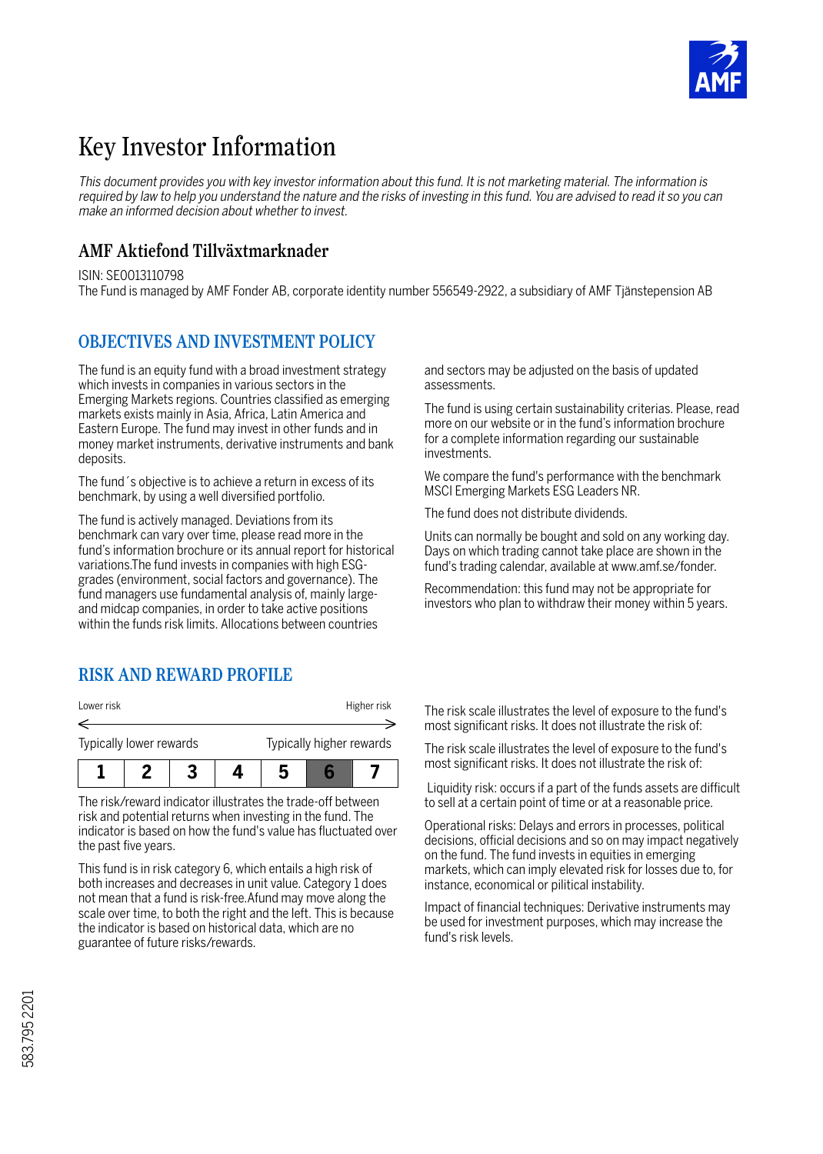

# Key Investor Information

*This document provides you with key investor information about this fund. It is not marketing material. The information is required by law to help you understand the nature and the risks of investing in this fund. You are advised to read it so you can make an informed decision about whether to invest.*

#### **AMF Aktiefond Tillväxtmarknader**

ISIN: SE0013110798

The Fund is managed by AMF Fonder AB, corporate identity number 556549-2922, a subsidiary of AMF Tjänstepension AB

#### **OBJECTIVES AND INVESTMENT POLICY**

The fund is an equity fund with a broad investment strategy which invests in companies in various sectors in the Emerging Markets regions. Countries classified as emerging markets exists mainly in Asia, Africa, Latin America and Eastern Europe. The fund may invest in other funds and in money market instruments, derivative instruments and bank deposits.

The fund´s objective is to achieve a return in excess of its benchmark, by using a well diversified portfolio.

The fund is actively managed. Deviations from its benchmark can vary over time, please read more in the fund's information brochure or its annual report for historical variations.The fund invests in companies with high ESGgrades (environment, social factors and governance). The fund managers use fundamental analysis of, mainly largeand midcap companies, in order to take active positions within the funds risk limits. Allocations between countries

### **RISK AND REWARD PROFILE**

| Lower risk              |  |  |                          | Higher risk |  |  |
|-------------------------|--|--|--------------------------|-------------|--|--|
|                         |  |  |                          |             |  |  |
| Typically lower rewards |  |  | Typically higher rewards |             |  |  |
|                         |  |  |                          |             |  |  |

The risk/reward indicator illustrates the trade-off between risk and potential returns when investing in the fund. The indicator is based on how the fund's value has fluctuated over the past five years.

This fund is in risk category 6, which entails a high risk of both increases and decreases in unit value. Category 1 does not mean that a fund is risk-free.Afund may move along the scale over time, to both the right and the left. This is because the indicator is based on historical data, which are no guarantee of future risks/rewards.

and sectors may be adjusted on the basis of updated assessments.

The fund is using certain sustainability criterias. Please, read more on our website or in the fund's information brochure for a complete information regarding our sustainable investments.

We compare the fund's performance with the benchmark MSCI Emerging Markets ESG Leaders NR.

The fund does not distribute dividends.

Units can normally be bought and sold on any working day. Days on which trading cannot take place are shown in the fund's trading calendar, available at www.amf.se/fonder.

Recommendation: this fund may not be appropriate for investors who plan to withdraw their money within 5 years.

The risk scale illustrates the level of exposure to the fund's most significant risks. It does not illustrate the risk of:

The risk scale illustrates the level of exposure to the fund's most significant risks. It does not illustrate the risk of:

 Liquidity risk: occurs if a part of the funds assets are difficult to sell at a certain point of time or at a reasonable price.

Operational risks: Delays and errors in processes, political decisions, official decisions and so on may impact negatively on the fund. The fund invests in equities in emerging markets, which can imply elevated risk for losses due to, for instance, economical or pilitical instability.

Impact of financial techniques: Derivative instruments may be used for investment purposes, which may increase the fund's risk levels.